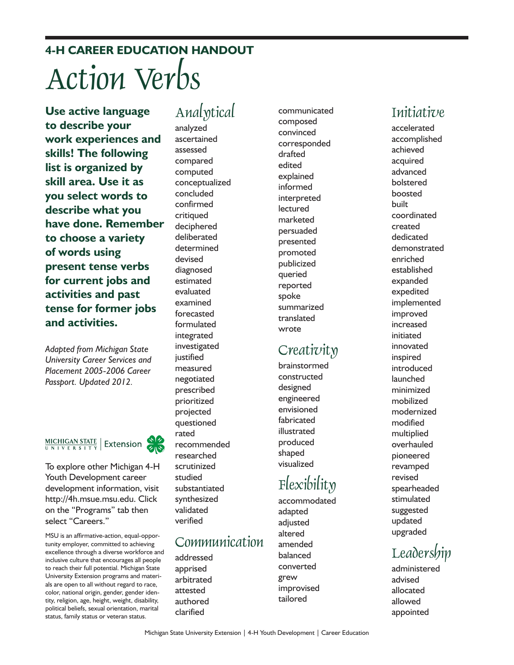**4-H CAREER EDUCATION HANDOUT** Action Verbs

**Use active language to describe your work experiences and skills! The following list is organized by skill area. Use it as you select words to describe what you have done. Remember to choose a variety of words using present tense verbs for current jobs and activities and past tense for former jobs and activities.**

*Adapted from Michigan State University Career Services and Placement 2005-2006 Career Passport. Updated 2012.*



To explore other Michigan 4-H Youth Development career development information, visit http://4h.msue.msu.edu. Click on the "Programs" tab then select "Careers."

MSU is an affirmative-action, equal-opportunity employer, committed to achieving excellence through a diverse workforce and inclusive culture that encourages all people to reach their full potential. Michigan State University Extension programs and materials are open to all without regard to race, color, national origin, gender, gender identity, religion, age, height, weight, disability, political beliefs, sexual orientation, marital status, family status or veteran status.

# Analytical

analyzed ascertained assessed compared computed conceptualized concluded confirmed critiqued deciphered deliberated determined devised diagnosed estimated evaluated examined forecasted formulated integrated investigated iustified measured negotiated prescribed prioritized projected questioned rated recommended researched scrutinized studied substantiated synthesized validated verified

## Communication

addressed apprised arbitrated attested authored clarified

communicated composed convinced corresponded drafted edited explained informed interpreted lectured marketed persuaded presented promoted publicized queried reported spoke summarized translated wrote

## Creativity

brainstormed constructed designed engineered envisioned fabricated illustrated produced shaped visualized

# Flexibility

accommodated adapted adjusted altered amended balanced converted grew improvised tailored

accelerated accomplished achieved acquired advanced bolstered boosted built coordinated created dedicated demonstrated enriched established expanded expedited implemented improved increased initiated innovated inspired introduced launched minimized mobilized modernized modified multiplied overhauled pioneered revamped revised spearheaded stimulated suggested updated upgraded

# **Leadership**

administered advised allocated allowed appointed